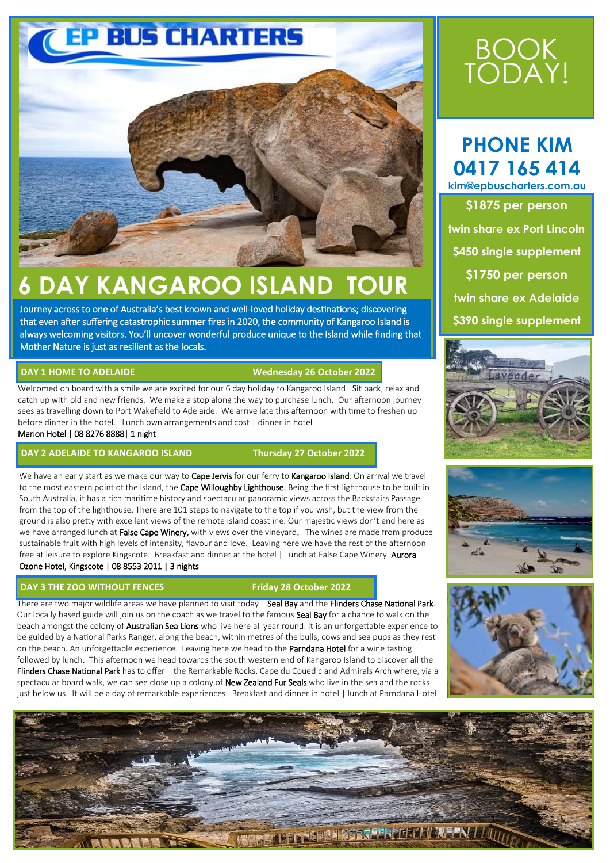

# **6 DAY KANGAROO ISLAND TOUR**

Journey across to one of Australia's best known and well-loved holiday destinations; discovering that even after suffering catastrophic summer fires in 2020, the community of Kangaroo Island is always welcoming visitors. You'll uncover wonderful produce unique to the Island while finding that Mother Nature is just as resilient as the locals.

### **DAY 1 HOME TO ADELAIDE**

#### **Wednesday 26 October 2022**

Welcomed on board with a smile we are excited for our 6 day holiday to Kangaroo Island. Sit back, relax and catch up with old and new friends. We make a stop along the way to purchase lunch. Our afternoon journey sees as travelling down to Port Wakefield to Adelaide. We arrive late this afternoon with time to freshen up before dinner in the hotel. Lunch own arrangements and cost | dinner in hotel Marion Hotel | 08 8276 8888| 1 night

#### **DAY 2 ADELAIDE TO KANGAROO ISLAND Thursday 27 October 2022**

We have an early start as we make our way to Cape Jervis for our ferry to Kangaroo Island. On arrival we travel to the most eastern point of the island, the Cape Willoughby Lighthouse. Being the first lighthouse to be built in South Australia, it has a rich maritime history and spectacular panoramic views across the Backstairs Passage from the top of the lighthouse. There are 101 steps to navigate to the top if you wish, but the view from the ground is also pretty with excellent views of the remote island coastline. Our majestic views don't end here as we have arranged lunch at False Cape Winery, with views over the vineyard. The wines are made from produce sustainable fruit with high levels of intensity, flavour and love. Leaving here we have the rest of the afternoon free at leisure to explore Kingscote. Breakfast and dinner at the hotel | Lunch at False Cape Winery Aurora Ozone Hotel, Kingscote | 08 8553 2011 | 3 nights

#### **DAY 3 THE ZOO WITHOUT FENCES**

#### **Friday 28 October 2022**

There are two major wildlife areas we have planned to visit today – Seal Bay and the Flinders Chase National Park. Our locally based guide will join us on the coach as we travel to the famous Seal Bay for a chance to walk on the beach amongst the colony of **Australian Sea Lions** who live here all year round. It is an unforgettable experience to be guided by a National Parks Ranger, along the beach, within metres of the bulls, cows and sea pups as they rest on the beach. An unforgettable experience. Leaving here we head to the Parndana Hotel for a wine tasting followed by lunch. This afternoon we head towards the south western end of Kangaroo Island to discover all the Flinders Chase National Park has to offer – the Remarkable Rocks, Cape du Couedic and Admirals Arch where, via a spectacular board walk, we can see close up a colony of New Zealand Fur Seals who live in the sea and the rocks just below us. It will be a day of remarkable experiences. Breakfast and dinner in hotel | lunch at Parndana Hotel

# BOOK TODAY!

## **PHONE KIM 0417 165 414**

**kim@epbuscharters.com.au \$1875 per person twin share ex Port Lincoln \$450 single supplement \$1750 per person twin share ex Adelaide \$390 single supplement**